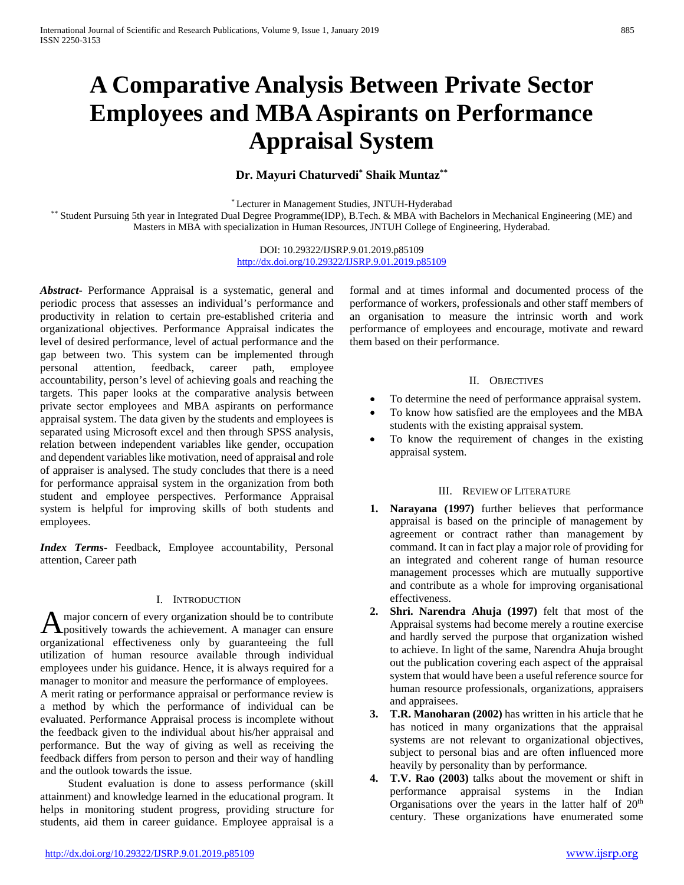# **A Comparative Analysis Between Private Sector Employees and MBAAspirants on Performance Appraisal System**

# **Dr. Mayuri Chaturvedi\* Shaik Muntaz\*\***

\* Lecturer in Management Studies, JNTUH-Hyderabad

\*\* Student Pursuing 5th year in Integrated Dual Degree Programme(IDP), B.Tech. & MBA with Bachelors in Mechanical Engineering (ME) and Masters in MBA with specialization in Human Resources, JNTUH College of Engineering, Hyderabad.

> DOI: 10.29322/IJSRP.9.01.2019.p85109 <http://dx.doi.org/10.29322/IJSRP.9.01.2019.p85109>

*Abstract***-** Performance Appraisal is a systematic, general and periodic process that assesses an individual's performance and productivity in relation to certain pre-established criteria and organizational objectives. Performance Appraisal indicates the level of desired performance, level of actual performance and the gap between two. This system can be implemented through personal attention, feedback, career path, employee accountability, person's level of achieving goals and reaching the targets. This paper looks at the comparative analysis between private sector employees and MBA aspirants on performance appraisal system. The data given by the students and employees is separated using Microsoft excel and then through SPSS analysis, relation between independent variables like gender, occupation and dependent variables like motivation, need of appraisal and role of appraiser is analysed. The study concludes that there is a need for performance appraisal system in the organization from both student and employee perspectives. Performance Appraisal system is helpful for improving skills of both students and employees.

*Index Terms*- Feedback, Employee accountability, Personal attention, Career path

## I. INTRODUCTION

major concern of every organization should be to contribute A major concern of every organization should be to contribute<br>positively towards the achievement. A manager can ensure organizational effectiveness only by guaranteeing the full utilization of human resource available through individual employees under his guidance. Hence, it is always required for a manager to monitor and measure the performance of employees.

A merit rating or performance appraisal or performance review is a method by which the performance of individual can be evaluated. Performance Appraisal process is incomplete without the feedback given to the individual about his/her appraisal and performance. But the way of giving as well as receiving the feedback differs from person to person and their way of handling and the outlook towards the issue.

 Student evaluation is done to assess performance (skill attainment) and knowledge learned in the educational program. It helps in monitoring student progress, providing structure for students, aid them in career guidance. Employee appraisal is a formal and at times informal and documented process of the performance of workers, professionals and other staff members of an organisation to measure the intrinsic worth and work performance of employees and encourage, motivate and reward them based on their performance.

#### II. OBJECTIVES

- To determine the need of performance appraisal system.
- To know how satisfied are the employees and the MBA students with the existing appraisal system.
- To know the requirement of changes in the existing appraisal system.

#### III. REVIEW OF LITERATURE

- **1. Narayana (1997)** further believes that performance appraisal is based on the principle of management by agreement or contract rather than management by command. It can in fact play a major role of providing for an integrated and coherent range of human resource management processes which are mutually supportive and contribute as a whole for improving organisational effectiveness.
- **2. Shri. Narendra Ahuja (1997)** felt that most of the Appraisal systems had become merely a routine exercise and hardly served the purpose that organization wished to achieve. In light of the same, Narendra Ahuja brought out the publication covering each aspect of the appraisal system that would have been a useful reference source for human resource professionals, organizations, appraisers and appraisees.
- **3. T.R. Manoharan (2002)** has written in his article that he has noticed in many organizations that the appraisal systems are not relevant to organizational objectives, subject to personal bias and are often influenced more heavily by personality than by performance.
- **4. T.V. Rao (2003)** talks about the movement or shift in performance appraisal systems in the Indian Organisations over the years in the latter half of  $20<sup>th</sup>$ century. These organizations have enumerated some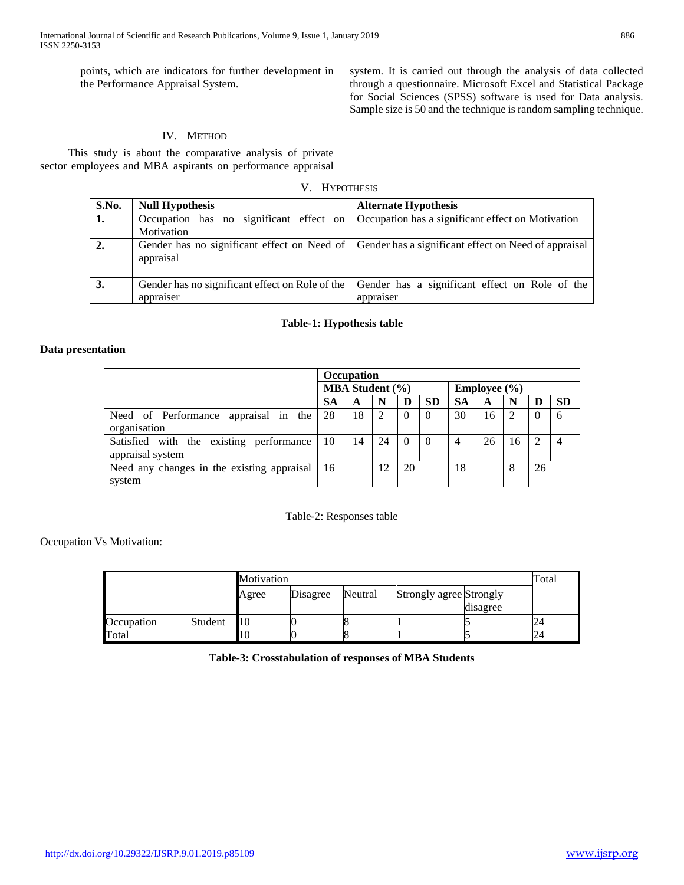points, which are indicators for further development in the Performance Appraisal System.

system. It is carried out through the analysis of data collected through a questionnaire. Microsoft Excel and Statistical Package for Social Sciences (SPSS) software is used for Data analysis. Sample size is 50 and the technique is random sampling technique.

# IV. METHOD

 This study is about the comparative analysis of private sector employees and MBA aspirants on performance appraisal

V. HYPOTHESIS

| S.No. | <b>Null Hypothesis</b> | <b>Alternate Hypothesis</b>                                                                      |
|-------|------------------------|--------------------------------------------------------------------------------------------------|
| 1.    |                        | Occupation has no significant effect on Occupation has a significant effect on Motivation        |
|       | Motivation             |                                                                                                  |
| 2.    | appraisal              | Gender has no significant effect on Need of Gender has a significant effect on Need of appraisal |
| 3.    |                        | Gender has no significant effect on Role of the Gender has a significant effect on Role of the   |
|       | appraiser              | appraiser                                                                                        |

### **Table-1: Hypothesis table**

#### **Data presentation**

|                                                             | <b>Occupation</b> |    |    |          |                        |           |    |    |          |           |
|-------------------------------------------------------------|-------------------|----|----|----------|------------------------|-----------|----|----|----------|-----------|
|                                                             | MBA Student (%)   |    |    |          | <b>Employee</b> $(\%)$ |           |    |    |          |           |
|                                                             | SА                | A  | N  | D        | <b>SD</b>              | <b>SA</b> | A  | N  | D        | <b>SD</b> |
| Need of Performance appraisal in the                        | 28                | 18 | 2  | $\theta$ | $\theta$               | 30        | 16 | 2  | $\Omega$ | 6         |
| organisation                                                |                   |    |    |          |                        |           |    |    |          |           |
| Satisfied with the existing performance<br>appraisal system | 10                | 14 | 24 | $\Omega$ |                        | 4         | 26 | 16 | 2        |           |
|                                                             |                   |    |    |          |                        |           |    |    |          |           |
| Need any changes in the existing appraisal<br>system        | 16                |    | 12 | 20       |                        | 18        |    | 8  | 26       |           |

#### Table-2: Responses table

Occupation Vs Motivation:

|            |         | Motivation | Total    |         |                         |          |   |  |  |
|------------|---------|------------|----------|---------|-------------------------|----------|---|--|--|
|            |         | Agree      | Disagree | Neutral | Strongly agree Strongly | disagree |   |  |  |
| Occupation | Student | 10         |          |         |                         |          | Ľ |  |  |
| Total      |         | 10         |          |         |                         |          |   |  |  |

**Table-3: Crosstabulation of responses of MBA Students**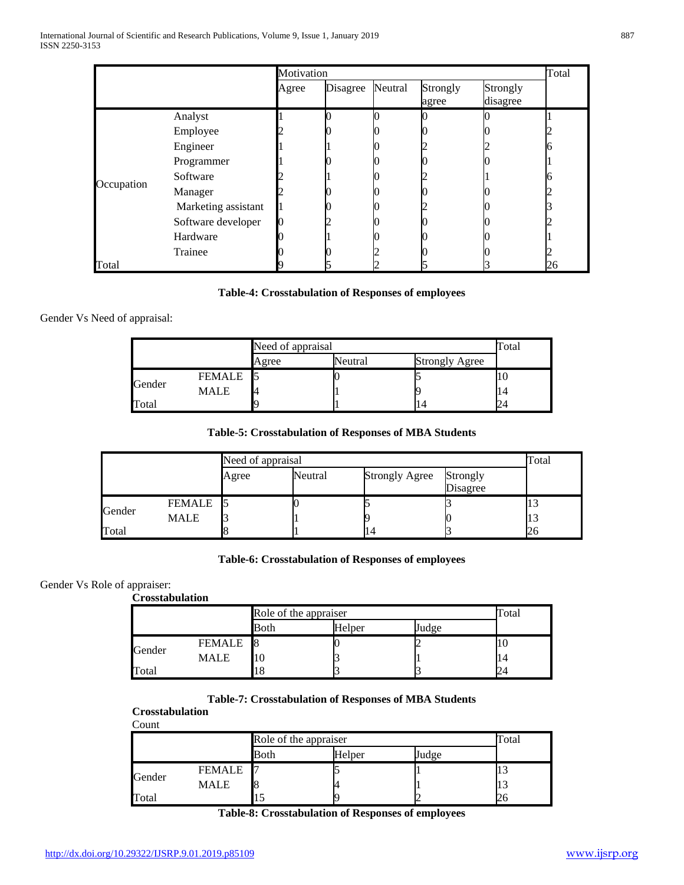|            |                     | Motivation |          |         |                   |                      | Total |
|------------|---------------------|------------|----------|---------|-------------------|----------------------|-------|
|            |                     | Agree      | Disagree | Neutral | Strongly<br>agree | Strongly<br>disagree |       |
|            | Analyst             |            |          |         |                   |                      |       |
|            | Employee            |            |          |         |                   |                      |       |
|            | Engineer            |            |          |         |                   |                      |       |
|            | Programmer          |            |          |         |                   |                      |       |
| Occupation | Software            |            |          |         |                   |                      |       |
|            | Manager             |            |          |         |                   |                      |       |
|            | Marketing assistant |            |          |         |                   |                      |       |
|            | Software developer  |            |          |         |                   |                      |       |
|            | Hardware            |            |          |         |                   |                      |       |
|            | Trainee             |            |          |         |                   |                      |       |
| Total      |                     |            |          |         |                   |                      | 26    |

#### **Table-4: Crosstabulation of Responses of employees**

#### Gender Vs Need of appraisal:

|        |        | Need of appraisal | Total   |                       |    |
|--------|--------|-------------------|---------|-----------------------|----|
|        |        | Agree             | Neutral | <b>Strongly Agree</b> |    |
|        | FEMALE |                   |         |                       | ΙU |
| Gender | MALE   |                   |         |                       | 14 |
| "otal  |        |                   |         |                       | 24 |

## **Table-5: Crosstabulation of Responses of MBA Students**

|        |             |       | Need of appraisal |                       |                      |    |  |  |  |
|--------|-------------|-------|-------------------|-----------------------|----------------------|----|--|--|--|
|        |             | Agree | Neutral           | <b>Strongly Agree</b> | Strongly<br>Disagree |    |  |  |  |
|        | FEMALE 5    |       |                   |                       |                      | 19 |  |  |  |
| Gender | <b>MALE</b> |       |                   |                       |                      | ιэ |  |  |  |
| Total  |             |       |                   | 14                    |                      | 26 |  |  |  |

# **Table-6: Crosstabulation of Responses of employees**

#### Gender Vs Role of appraiser:

**Crosstabulation**

|        |               | Role of the appraiser | Total  |       |     |
|--------|---------------|-----------------------|--------|-------|-----|
|        |               | Both                  | Helper | Judge |     |
|        | <b>FEMALE</b> |                       |        |       | 1 U |
| Gender | <b>MALE</b>   |                       |        |       | 14  |
| Total  |               |                       |        |       |     |

#### **Table-7: Crosstabulation of Responses of MBA Students**

# **Crosstabulation**

Count

|        |               | Role of the appraiser | Total  |       |     |
|--------|---------------|-----------------------|--------|-------|-----|
|        |               | Both                  | Helper | Judge |     |
|        | <b>FEMALE</b> |                       |        |       | IJ  |
| Gender | MALE          |                       |        |       | ن ر |
| Total  |               |                       |        |       | ZΟ  |

**Table-8: Crosstabulation of Responses of employees**